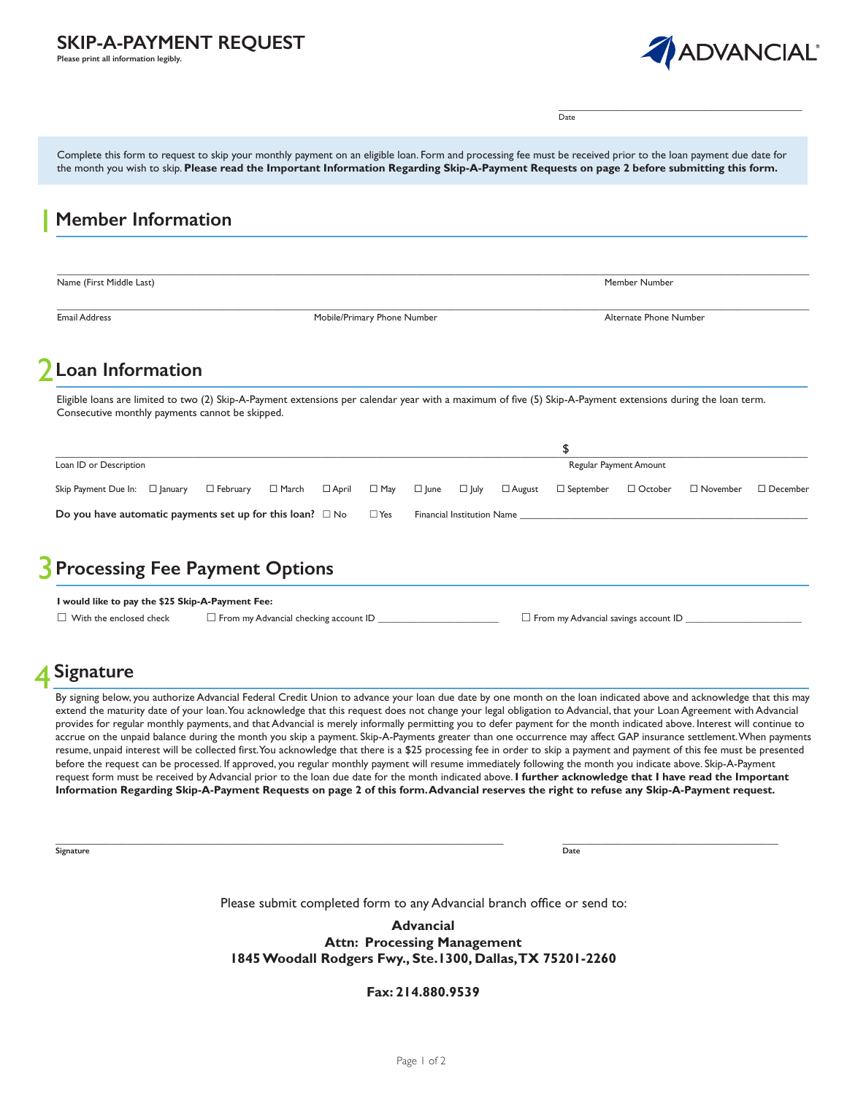### **SKIP-A-PAYMENT REQUEST**

**Please print all information legibly.**



\_\_\_\_\_\_\_\_\_\_\_\_\_\_\_\_\_\_\_\_\_\_\_\_\_\_\_\_\_\_\_\_\_\_\_\_\_\_\_\_\_\_\_\_

Date

Complete this form to request to skip your monthly payment on an eligible loan. Form and processing fee must be received prior to the loan payment due date for the month you wish to skip. **Please read the Important Information Regarding Skip-A-Payment Requests on page 2 before submitting this form.**

## **Member Information Loan Information**  $\mathcal{P}$  and the contribution of the contribution of the contribution of the contribution of the contribution of the contribution of the contribution of the contribution of the contribution of the contribution of the cont **Loan ID or Description** Regular Payment Amount Control of the Regular Payment Amount Control of Regular Payment Amount Skip Payment Due In:  $\square$  January  $\square$  February  $\square$  March  $\square$  April  $\square$  May  $\square$   $\square$  Unive  $\square$  Unive  $\square$  October  $\square$  November  $\square$  December **Do you have automatic payments set up for this loan?**  $\Box$  No  $\Box$  Yes Financial Institution Name  $\_$  , and the state of the state of the state of the state of the state of the state of the state of the state of the state of the state of the state of the state of the state of the state of the state of the state of the Name (First Middle Last) Member Number  $\_$  , and the state of the state of the state of the state of the state of the state of the state of the state of the state of the state of the state of the state of the state of the state of the state of the state of the Email Address **Mobile/Primary Phone Number** Alternate Phone Number Alternate Phone Number Alternate Phone Number 1 2 \$ Eligible loans are limited to two (2) Skip-A-Payment extensions per calendar year with a maximum of five (5) Skip-A-Payment extensions during the loan term. Consecutive monthly payments cannot be skipped.

#### **Processing Fee Payment Options** 3

| I would like to pay the \$25 Skip-A-Payment Fee: |                                              |                                             |
|--------------------------------------------------|----------------------------------------------|---------------------------------------------|
| $\Box$ With the enclosed check                   | $\Box$ From my Advancial checking account ID | $\Box$ From my Advancial savings account ID |

# **Signature**

By signing below, you authorize Advancial Federal Credit Union to advance your loan due date by one month on the loan indicated above and acknowledge that this may extend the maturity date of your loan. You acknowledge that this request does not change your legal obligation to Advancial, that your Loan Agreement with Advancial provides for regular monthly payments, and that Advancial is merely informally permitting you to defer payment for the month indicated above. Interest will continue to accrue on the unpaid balance during the month you skip a payment. Skip-A-Payments greater than one occurrence may affect GAP insurance settlement. When payments resume, unpaid interest will be collected first. You acknowledge that there is a \$25 processing fee in order to skip a payment and payment of this fee must be presented before the request can be processed. If approved, you regular monthly payment will resume immediately following the month you indicate above. Skip-A-Payment request form must be received by Advancial prior to the loan due date for the month indicated above. **I further acknowledge that I have read the Important Information Regarding Skip-A-Payment Requests on page 2 of this form. Advancial reserves the right to refuse any Skip-A-Payment request.**

 $\_$  ,  $\_$  ,  $\_$  ,  $\_$  ,  $\_$  ,  $\_$  ,  $\_$  ,  $\_$  ,  $\_$  ,  $\_$  ,  $\_$  ,  $\_$  ,  $\_$  ,  $\_$  ,  $\_$  ,  $\_$  ,  $\_$  ,  $\_$  ,  $\_$  ,  $\_$  ,  $\_$  ,  $\_$  ,  $\_$  ,  $\_$  ,  $\_$  ,  $\_$  ,  $\_$  ,  $\_$  ,  $\_$  ,  $\_$  ,  $\_$  ,  $\_$  ,  $\_$  ,  $\_$  ,  $\_$  ,  $\_$  ,  $\_$  , **Signature Date** 

Please submit completed form to any Advancial branch office or send to:

**Advancial Attn: Processing Management 1845 Woodall Rodgers Fwy., Ste.1300, Dallas, TX 75201-2260**

**Fax: 214.880.9539**